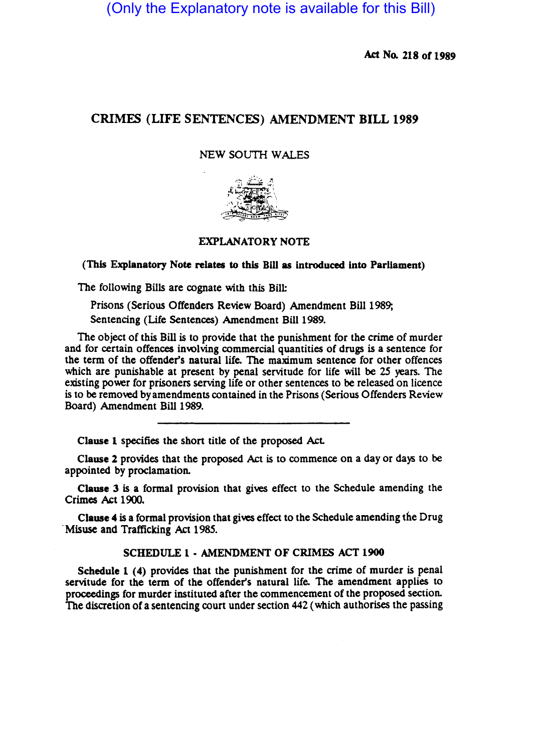(Only the Explanatory note is available for this Bill)

Act No. 218 of 1989

# CRIMES (LIFE SENTENCES) AMENDMENT BILL 1989

### NEW SOUTH WALES



## EXPLANATORY NOTE

#### (This Explanatory Note relates to this Bill as introduced into Parliament)

The following Bills are cognate with this Bill:

Prisons (Serious Offenders Review Board) Amendment Bill 1989;

Sentencing (Life Sentences) Amendment Bill 1989.

The object of this Bill is to provide that the punishment for the crime of murder and for certain offences involving commercial quantities of drugs is a sentence for the term of the offender'S natural life. The maximum sentence for other offences which are punishable at present by penal servitude for life will be 25 years. The existing power for prisoners serving life or other sentences to be released on licence is to be removed by amendments contained in the Prisons (Serious Offenders Review Board) Amendment Bill 1989.

Clause 1 specifies the short title of the proposed Act.

Clause 2 provides that the proposed Act is to commence on a day or days to be appointed by proclamation.

Clause 3 is a formal provision that gives effect to the Schedule amending the Crimes Act 1900.

Clause 4 is a formal provision that gives effect to the Schedule amending the Drug . Misuse and Trafficking Act 1985.

### SCHEDULE 1 • AMENDMENT OF CRIMES ACT 1900

Schedule 1 (4) provides that the punishment for the crime of murder is penal servitude for the term of the offender's natural life. The amendment applies to proceedings for murder instituted after the commencement of the proposed section. The discretion of a sentencing court under section 442 (which authorises the passing